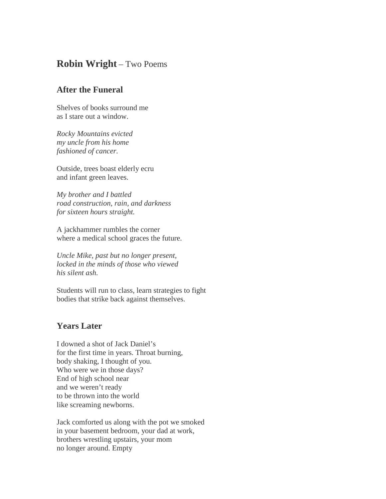## **Robin Wright** – Two Poems

## **After the Funeral**

Shelves of books surround me as I stare out a window.

*Rocky Mountains evicted my uncle from his home fashioned of cancer.*

Outside, trees boast elderly ecru and infant green leaves.

*My brother and I battled road construction, rain, and darkness for sixteen hours straight.*

A jackhammer rumbles the corner where a medical school graces the future.

*Uncle Mike, past but no longer present, locked in the minds of those who viewed his silent ash.*

Students will run to class, learn strategies to fight bodies that strike back against themselves.

## **Years Later**

I downed a shot of Jack Daniel's for the first time in years. Throat burning, body shaking, I thought of you. Who were we in those days? End of high school near and we weren't ready to be thrown into the world like screaming newborns.

Jack comforted us along with the pot we smoked in your basement bedroom, your dad at work, brothers wrestling upstairs, your mom no longer around. Empty